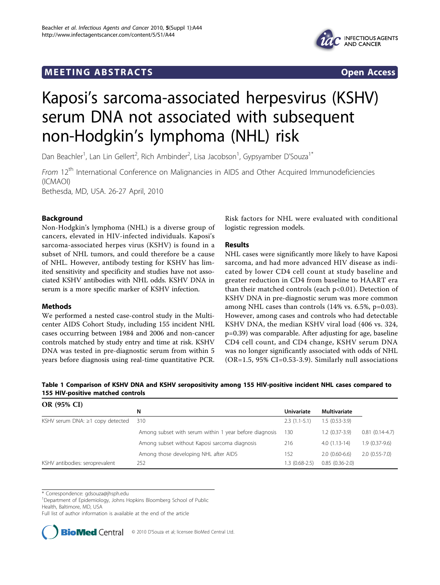## <span id="page-0-0"></span>**MEETING ABSTRACTS** And the state of the state of the state of the state of the state of the state of the state of the state of the state of the state of the state of the state of the state of the state of the state of the



# Kaposi's sarcoma-associated herpesvirus (KSHV) serum DNA not associated with subsequent non-Hodgkin's lymphoma (NHL) risk

Dan Beachler<sup>1</sup>, Lan Lin Gellert<sup>2</sup>, Rich Ambinder<sup>2</sup>, Lisa Jacobson<sup>1</sup>, Gypsyamber D'Souza<sup>1\*</sup>

From 12<sup>th</sup> International Conference on Malignancies in AIDS and Other Acquired Immunodeficiencies (ICMAOI)

Bethesda, MD, USA. 26-27 April, 2010

## Background

Non-Hodgkin's lymphoma (NHL) is a diverse group of cancers, elevated in HIV-infected individuals. Kaposi's sarcoma-associated herpes virus (KSHV) is found in a subset of NHL tumors, and could therefore be a cause of NHL. However, antibody testing for KSHV has limited sensitivity and specificity and studies have not associated KSHV antibodies with NHL odds. KSHV DNA in serum is a more specific marker of KSHV infection.

## Methods

We performed a nested case-control study in the Multicenter AIDS Cohort Study, including 155 incident NHL cases occurring between 1984 and 2006 and non-cancer controls matched by study entry and time at risk. KSHV DNA was tested in pre-diagnostic serum from within 5 years before diagnosis using real-time quantitative PCR.

Risk factors for NHL were evaluated with conditional logistic regression models.

## Results

NHL cases were significantly more likely to have Kaposi sarcoma, and had more advanced HIV disease as indicated by lower CD4 cell count at study baseline and greater reduction in CD4 from baseline to HAART era than their matched controls (each p<0.01). Detection of KSHV DNA in pre-diagnostic serum was more common among NHL cases than controls (14% vs. 6.5%, p=0.03). However, among cases and controls who had detectable KSHV DNA, the median KSHV viral load (406 vs. 324, p=0.39) was comparable. After adjusting for age, baseline CD4 cell count, and CD4 change, KSHV serum DNA was no longer significantly associated with odds of NHL (OR=1.5, 95% CI=0.53-3.9). Similarly null associations

Table 1 Comparison of KSHV DNA and KSHV seropositivity among 155 HIV-positive incident NHL cases compared to 155 HIV-positive matched controls

| OR (95% CI)                            |                                                        |                   |                  |                  |
|----------------------------------------|--------------------------------------------------------|-------------------|------------------|------------------|
|                                        | N                                                      | <b>Univariate</b> | Multivariate     |                  |
| KSHV serum DNA: $\geq$ 1 copy detected | 310                                                    | $2.3(1.1-5.1)$    | $1.5(0.53-3.9)$  |                  |
|                                        | Among subset with serum within 1 year before diagnosis | 130               | $1.2(0.37-3.9)$  | $0.81(0.14-4.7)$ |
|                                        | Among subset without Kaposi sarcoma diagnosis          | 216               | $4.0(1.13-14)$   | $1.9(0.37-9.6)$  |
|                                        | Among those developing NHL after AIDS                  | 152               | $2.0(0.60-6.6)$  | $2.0(0.55-7.0)$  |
| KSHV antibodies: seroprevalent         | 252                                                    | $1.3(0.68-2.5)$   | $0.85(0.36-2.0)$ |                  |

\* Correspondence: [gdsouza@jhsph.edu](mailto:gdsouza@jhsph.edu)

<sup>1</sup>Department of Epidemiology, Johns Hopkins Bloomberg School of Public

Health, Baltimore, MD, USA

Full list of author information is available at the end of the article